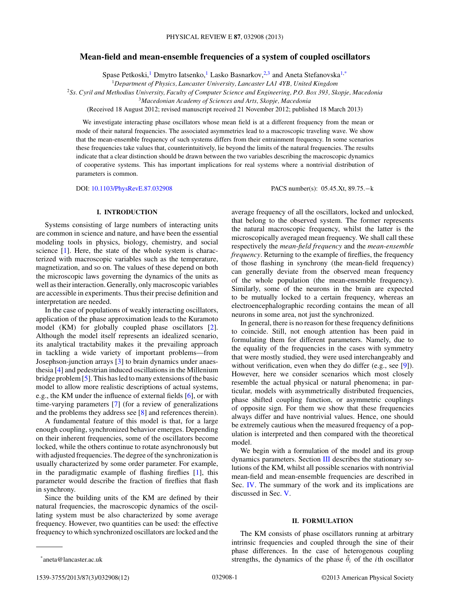# **Mean-field and mean-ensemble frequencies of a system of coupled oscillators**

Spase Petkoski,<sup>1</sup> Dmytro Iatsenko,<sup>1</sup> Lasko Basnarkov,<sup>2,3</sup> and Aneta Stefanovska<sup>1,\*</sup>

<sup>1</sup>*Department of Physics, Lancaster University, Lancaster LA1 4YB, United Kingdom*

<sup>2</sup>*Ss. Cyril and Methodius University, Faculty of Computer Science and Engineering, P.O. Box 393, Skopje, Macedonia*

<sup>3</sup>*Macedonian Academy of Sciences and Arts, Skopje, Macedonia*

(Received 18 August 2012; revised manuscript received 21 November 2012; published 18 March 2013)

We investigate interacting phase oscillators whose mean field is at a different frequency from the mean or mode of their natural frequencies. The associated asymmetries lead to a macroscopic traveling wave. We show that the mean-ensemble frequency of such systems differs from their entrainment frequency. In some scenarios these frequencies take values that, counterintuitively, lie beyond the limits of the natural frequencies. The results indicate that a clear distinction should be drawn between the two variables describing the macroscopic dynamics of cooperative systems. This has important implications for real systems where a nontrivial distribution of parameters is common.

DOI: [10.1103/PhysRevE.87.032908](http://dx.doi.org/10.1103/PhysRevE.87.032908) PACS number(s): 05*.*45*.*Xt, 89*.*75*.*−k

## **I. INTRODUCTION**

Systems consisting of large numbers of interacting units are common in science and nature, and have been the essential modeling tools in physics, biology, chemistry, and social science [\[1\]](#page-11-0). Here, the state of the whole system is characterized with macroscopic variables such as the temperature, magnetization, and so on. The values of these depend on both the microscopic laws governing the dynamics of the units as well as their interaction. Generally, only macroscopic variables are accessible in experiments. Thus their precise definition and interpretation are needed.

In the case of populations of weakly interacting oscillators, application of the phase approximation leads to the Kuramoto model (KM) for globally coupled phase oscillators [\[2\]](#page-11-0). Although the model itself represents an idealized scenario, its analytical tractability makes it the prevailing approach in tackling a wide variety of important problems—from Josephson-junction arrays [\[3\]](#page-11-0) to brain dynamics under anaesthesia [\[4\]](#page-11-0) and pedestrian induced oscillations in the Millenium bridge problem [\[5\]](#page-11-0). This has led to many extensions of the basic model to allow more realistic descriptions of actual systems, e.g., the KM under the influence of external fields [\[6\]](#page-11-0), or with time-varying parameters [\[7\]](#page-11-0) (for a review of generalizations and the problems they address see [\[8\]](#page-11-0) and references therein).

A fundamental feature of this model is that, for a large enough coupling, synchronized behavior emerges. Depending on their inherent frequencies, some of the oscillators become locked, while the others continue to rotate asynchronously but with adjusted frequencies. The degree of the synchronization is usually characterized by some order parameter. For example, in the paradigmatic example of flashing fireflies [\[1\]](#page-11-0), this parameter would describe the fraction of fireflies that flash in synchrony.

Since the building units of the KM are defined by their natural frequencies, the macroscopic dynamics of the oscillating system must be also characterized by some average frequency. However, two quantities can be used: the effective frequency to which synchronized oscillators are locked and the

average frequency of all the oscillators, locked and unlocked, that belong to the observed system. The former represents the natural macroscopic frequency, whilst the latter is the microscopically averaged mean frequency. We shall call these respectively the *mean-field frequency* and the *mean-ensemble frequency*. Returning to the example of fireflies, the frequency of those flashing in synchrony (the mean-field frequency) can generally deviate from the observed mean frequency of the whole population (the mean-ensemble frequency). Similarly, some of the neurons in the brain are expected to be mutually locked to a certain frequency, whereas an electroencephalographic recording contains the mean of all neurons in some area, not just the synchronized.

In general, there is no reason for these frequency definitions to coincide. Still, not enough attention has been paid in formulating them for different parameters. Namely, due to the equality of the frequencies in the cases with symmetry that were mostly studied, they were used interchangeably and without verification, even when they do differ (e.g., see [\[9\]](#page-11-0)). However, here we consider scenarios which most closely resemble the actual physical or natural phenomena; in particular, models with asymmetrically distributed frequencies, phase shifted coupling function, or asymmetric couplings of opposite sign. For them we show that these frequencies always differ and have nontrivial values. Hence, one should be extremely cautious when the measured frequency of a population is interpreted and then compared with the theoretical model.

We begin with a formulation of the model and its group dynamics parameters. Section [III](#page-2-0) describes the stationary solutions of the KM, whilst all possible scenarios with nontrivial mean-field and mean-ensemble frequencies are described in Sec. [IV.](#page-3-0) The summary of the work and its implications are discussed in Sec. [V.](#page-9-0)

## **II. FORMULATION**

The KM consists of phase oscillators running at arbitrary intrinsic frequencies and coupled through the sine of their phase differences. In the case of heterogenous coupling strengths, the dynamics of the phase  $\tilde{\theta}_i$  of the *i*th oscillator

 $*$ aneta@lancaster.ac.uk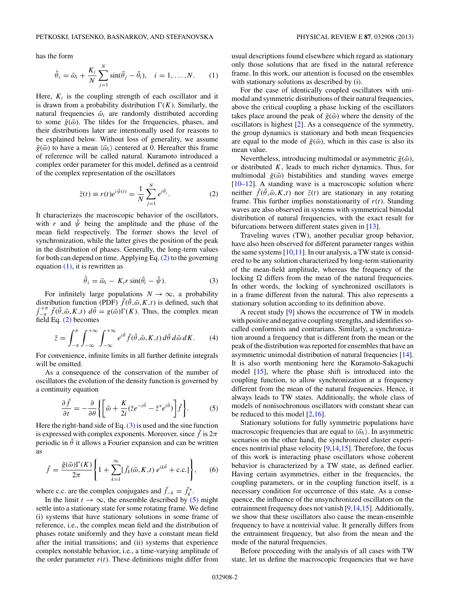<span id="page-1-0"></span>has the form

$$
\dot{\tilde{\theta}}_i = \tilde{\omega}_i + \frac{K_i}{N} \sum_{j=1}^N \sin(\tilde{\theta}_j - \tilde{\theta}_i), \quad i = 1, \dots, N. \tag{1}
$$

Here,  $K_i$  is the coupling strength of each oscillator and it is drawn from a probability distribution  $\Gamma(K)$ . Similarly, the natural frequencies  $\tilde{\omega}_i$  are randomly distributed according to some  $\tilde{g}(\tilde{\omega})$ . The tildes for the frequencies, phases, and their distributions later are intentionally used for reasons to be explained below. Without loss of generality, we assume  $\tilde{g}(\tilde{\omega})$  to have a mean  $\langle \tilde{\omega}_i \rangle$  centered at 0. Hereafter this frame of reference will be called natural. Kuramoto introduced a complex order parameter for this model, defined as a centroid of the complex representation of the oscillators

$$
\tilde{z}(t) \equiv r(t)e^{i\tilde{\psi}(t)} = \frac{1}{N} \sum_{j=1}^{N} e^{i\tilde{\theta}_{j}}.
$$
 (2)

It characterizes the macroscopic behavior of the oscillators, with *r* and  $\tilde{\psi}$  being the amplitude and the phase of the mean field respectively. The former shows the level of synchronization, while the latter gives the position of the peak in the distribution of phases. Generally, the long-term values for both can depend on time. Applying Eq. (2) to the governing equation  $(1)$ , it is rewritten as

$$
\dot{\tilde{\theta}}_i = \tilde{\omega}_i - K_i r \sin(\tilde{\theta}_i - \tilde{\psi}). \tag{3}
$$

For infinitely large populations  $N \to \infty$ , a probability distribution function (PDF)  $\tilde{f}(\tilde{\theta}, \tilde{\omega}, K, t)$  is defined, such that  $\int_{-\pi}^{+\pi} \tilde{f}(\tilde{\theta}, \tilde{\omega}, K, t) d\tilde{\theta} = g(\tilde{\omega}) \Gamma(K)$ . Thus, the complex mean field Eq. (2) becomes

$$
\tilde{z} = \int_{-\pi}^{\pi} \int_{-\infty}^{+\infty} \int_{-\infty}^{+\infty} e^{i\tilde{\theta}} \tilde{f}(\tilde{\theta}, \tilde{\omega}, K, t) d\tilde{\theta} d\tilde{\omega} dK.
$$
 (4)

For convenience, infinite limits in all further definite integrals will be omitted.

As a consequence of the conservation of the number of oscillators the evolution of the density function is governed by a continuity equation

$$
\frac{\partial \tilde{f}}{\partial t} = -\frac{\partial}{\partial \theta} \left\{ \left[ \tilde{\omega} + \frac{K}{2i} (\tilde{z} e^{-i\tilde{\theta}} - \tilde{z}^* e^{i\tilde{\theta}}) \right] \tilde{f} \right\}.
$$
 (5)

Here the right-hand side of Eq.  $(3)$  is used and the sine function is expressed with complex exponents. Moreover, since  $\tilde{f}$  is  $2\pi$ periodic in  $\tilde{\theta}$  it allows a Fourier expansion and can be written as

$$
\tilde{f} = \frac{\tilde{g}(\tilde{\omega})\Gamma(K)}{2\pi} \left\{ 1 + \sum_{k=1}^{\infty} [\tilde{f}_k(\tilde{\omega}, K, t) e^{ik\tilde{\theta}} + \text{c.c.}] \right\},\qquad(6)
$$

where c.c. are the complex conjugates and  $\tilde{f}_{-k} = \tilde{f}_k^*$ .

In the limit  $t \to \infty$ , the ensemble described by (5) might settle into a stationary state for some rotating frame. We define (i) systems that have stationary solutions in some frame of reference, i.e., the complex mean field and the distribution of phases rotate uniformly and they have a constant mean field after the initial transitions; and (ii) systems that experience complex nonstable behavior, i.e., a time-varying amplitude of the order parameter  $r(t)$ . These definitions might differ from

usual descriptions found elsewhere which regard as stationary only those solutions that are fixed in the natural reference frame. In this work, our attention is focused on the ensembles with stationary solutions as described by (i).

For the case of identically coupled oscillators with unimodal and symmetric distributions of their natural frequencies, above the critical coupling a phase locking of the oscillators takes place around the peak of  $\tilde{g}(\tilde{\omega})$  where the density of the oscillators is highest [\[2\]](#page-11-0). As a consequence of the symmetry, the group dynamics is stationary and both mean frequencies are equal to the mode of  $\tilde{g}(\tilde{\omega})$ , which in this case is also its mean value.

Nevertheless, introducing multimodal or asymmetric  $\tilde{g}(\tilde{\omega})$ , or distributed *K*, leads to much richer dynamics. Thus, for multimodal  $\tilde{g}(\tilde{\omega})$  bistabilities and standing waves emerge [\[10–12\]](#page-11-0). A standing wave is a macroscopic solution where neither  $\hat{f}(\hat{\theta}, \tilde{\omega}, K, t)$  nor  $\tilde{z}(t)$  are stationary in any rotating frame. This further implies nonstationarity of  $r(t)$ . Standing waves are also observed in systems with symmetrical bimodal distribution of natural frequencies, with the exact result for bifurcations between different states given in [\[13\]](#page-11-0).

Traveling waves (TW), another peculiar group behavior, have also been observed for different parameter ranges within the same systems  $[10,11]$ . In our analysis, a TW state is considered to be any solution characterized by long-term stationarity of the mean-field amplitude, whereas the frequency of the locking  $\Omega$  differs from the mean of the natural frequencies. In other words, the locking of synchronized oscillators is in a frame different from the natural. This also represents a stationary solution according to its definition above.

A recent study [\[9\]](#page-11-0) shows the occurrence of TW in models with positive and negative coupling strengths, and identifies socalled conformists and contrarians. Similarly, a synchronization around a frequency that is different from the mean or the peak of the distribution was reported for ensembles that have an asymmetric unimodal distribution of natural frequencies [\[14\]](#page-11-0). It is also worth mentioning here the Kuramoto-Sakaguchi model [\[15\]](#page-11-0), where the phase shift is introduced into the coupling function, to allow synchronization at a frequency different from the mean of the natural frequencies. Hence, it always leads to TW states. Additionally, the whole class of models of nonisochronous oscillators with constant shear can be reduced to this model [\[2,16\]](#page-11-0).

Stationary solutions for fully symmetric populations have macroscopic frequencies that are equal to  $\langle \tilde{\omega}_i \rangle$ . In asymmetric scenarios on the other hand, the synchronized cluster experiences nontrivial phase velocity [\[9,14,15\]](#page-11-0). Therefore, the focus of this work is interacting phase oscillators whose coherent behavior is characterized by a TW state, as defined earlier. Having certain asymmetries, either in the frequencies, the coupling parameters, or in the coupling function itself, is a necessary condition for occurrence of this state. As a consequence, the influence of the unsynchronized oscillators on the entrainment frequency does not vanish [\[9,14,15\]](#page-11-0). Additionally, we show that these oscillators also cause the mean-ensemble frequency to have a nontrivial value. It generally differs from the entrainment frequency, but also from the mean and the mode of the natural frequencies.

Before proceeding with the analysis of all cases with TW state, let us define the macroscopic frequencies that we have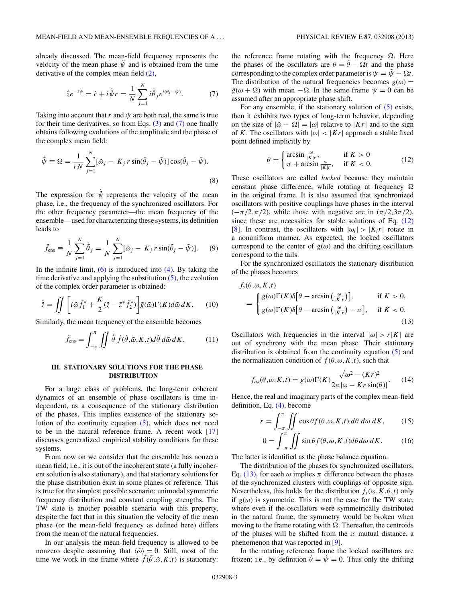<span id="page-2-0"></span>already discussed. The mean-field frequency represents the velocity of the mean phase  $\tilde{\psi}$  and is obtained from the time derivative of the complex mean field  $(2)$ ,

$$
\dot{\tilde{z}}e^{-i\tilde{\psi}} = \dot{r} + i\dot{\tilde{\psi}}r = \frac{1}{N} \sum_{j=1}^{N} i\dot{\tilde{\theta}}_{j} e^{i(\tilde{\theta}_{j} - \tilde{\psi})}.
$$
 (7)

Taking into account that *r* and  $\psi$  are both real, the same is true for their time derivatives, so from Eqs.  $(3)$  and  $(7)$  one finally obtains following evolutions of the amplitude and the phase of the complex mean field:

$$
\dot{\tilde{\psi}} \equiv \Omega = \frac{1}{rN} \sum_{j=1}^{N} [\tilde{\omega}_j - K_j r \sin(\tilde{\theta}_j - \tilde{\psi})] \cos(\tilde{\theta}_j - \tilde{\psi}).
$$
\n(8)

The expression for  $\dot{\psi}$  represents the velocity of the mean phase, i.e., the frequency of the synchronized oscillators. For the other frequency parameter—the mean frequency of the ensemble—used for characterizing these systems, its definition leads to

$$
\tilde{f}_{\text{ens}} \equiv \frac{1}{N} \sum_{j=1}^{N} \dot{\tilde{\theta}}_{j} = \frac{1}{N} \sum_{j=1}^{N} [\tilde{\omega}_{j} - K_{j} r \sin(\tilde{\theta}_{j} - \tilde{\psi})]. \tag{9}
$$

In the infinite limit,  $(6)$  is introduced into  $(4)$ . By taking the time derivative and applying the substitution  $(5)$ , the evolution of the complex order parameter is obtained:

$$
\dot{\tilde{z}} = \iint \left[ i \tilde{\omega} \tilde{f}_1^* + \frac{K}{2} (\tilde{z} - \tilde{z}^* \tilde{f}_2^*) \right] \tilde{g}(\tilde{\omega}) \Gamma(K) d\tilde{\omega} dK. \tag{10}
$$

Similarly, the mean frequency of the ensemble becomes

$$
\tilde{f}_{\text{ens}} = \int_{-\pi}^{\pi} \iint \dot{\tilde{\theta}} \, \tilde{f}(\tilde{\theta}, \tilde{\omega}, K, t) d\tilde{\theta} \, d\tilde{\omega} \, dK. \tag{11}
$$

## **III. STATIONARY SOLUTIONS FOR THE PHASE DISTRIBUTION**

For a large class of problems, the long-term coherent dynamics of an ensemble of phase oscillators is time independent, as a consequence of the stationary distribution of the phases. This implies existence of the stationary solution of the continuity equation  $(5)$ , which does not need to be in the natural reference frame. A recent work [\[17\]](#page-11-0) discusses generalized empirical stability conditions for these systems.

From now on we consider that the ensemble has nonzero mean field, i.e., it is out of the incoherent state (a fully incoherent solution is also stationary), and that stationary solutions for the phase distribution exist in some planes of reference. This is true for the simplest possible scenario: unimodal symmetric frequency distribution and constant coupling strengths. The TW state is another possible scenario with this property, despite the fact that in this situation the velocity of the mean phase (or the mean-field frequency as defined here) differs from the mean of the natural frequencies.

In our analysis the mean-field frequency is allowed to be nonzero despite assuming that  $\langle \tilde{\omega} \rangle = 0$ . Still, most of the time we work in the frame where  $\tilde{f}(\tilde{\theta}, \tilde{\omega}, K, t)$  is stationary: the reference frame rotating with the frequency  $\Omega$ . Here the phases of the oscillators are  $\theta = \tilde{\theta} - \Omega t$  and the phase corresponding to the complex order parameter is  $\psi = \tilde{\psi} - \Omega t$ . The distribution of the natural frequencies becomes  $g(\omega)$  =  $\tilde{g}(\omega + \Omega)$  with mean  $-\Omega$ . In the same frame  $\psi = 0$  can be assumed after an appropriate phase shift.

For any ensemble, if the stationary solution of  $(5)$  exists, then it exhibits two types of long-term behavior, depending on the size of  $|\tilde{\omega} - \Omega| = |\omega|$  relative to  $|Kr|$  and to the sign of *K*. The oscillators with  $|\omega|$  <  $|Kr|$  approach a stable fixed point defined implicitly by

$$
\theta = \begin{cases} \arcsin \frac{\omega}{|K|r}, & \text{if } K > 0\\ \pi + \arcsin \frac{\omega}{|K|r}, & \text{if } K < 0. \end{cases} \tag{12}
$$

These oscillators are called *locked* because they maintain constant phase difference, while rotating at frequency  $\Omega$ in the original frame. It is also assumed that synchronized oscillators with positive couplings have phases in the interval (−*π/*2*,π/*2), while those with negative are in (*π/*2*,*3*π/*2), since these are necessities for stable solutions of Eq. (12) [\[8\]](#page-11-0). In contrast, the oscillators with  $|\omega_i| > |K_i r|$  rotate in a nonuniform manner. As expected, the locked oscillators correspond to the center of  $g(\omega)$  and the drifting oscillators correspond to the tails.

For the synchronized oscillators the stationary distribution of the phases becomes

$$
f_s(\theta, \omega, K, t)
$$
  
= 
$$
\begin{cases} g(\omega)\Gamma(K)\delta[\theta - \arcsin(\frac{\omega}{|K|_{r}})], & \text{if } K > 0, \\ g(\omega)\Gamma(K)\delta[\theta - \arcsin(\frac{\omega}{|K|_{r}}) - \pi], & \text{if } K < 0. \end{cases}
$$
(13)

Oscillators with frequencies in the interval  $|\omega| > r|K|$  are out of synchrony with the mean phase. Their stationary distribution is obtained from the continuity equation [\(5\)](#page-1-0) and the normalization condition of  $f(\theta, \omega, K, t)$ , such that

$$
f_{as}(\theta,\omega,K,t) = g(\omega)\Gamma(K)\frac{\sqrt{\omega^2 - (Kr)^2}}{2\pi|\omega - Kr\sin(\theta)|}.
$$
 (14)

Hence, the real and imaginary parts of the complex mean-field definition, Eq. [\(4\),](#page-1-0) become

$$
r = \int_{-\pi}^{\pi} \iint \cos \theta f(\theta, \omega, K, t) d\theta d\omega dK, \qquad (15)
$$

$$
0 = \int_{-\pi}^{\pi} \iint \sin \theta f(\theta, \omega, K, t) d\theta d\omega \, dK. \tag{16}
$$

The latter is identified as the phase balance equation.

The distribution of the phases for synchronized oscillators, Eq. (13), for each  $\omega$  implies  $\pi$  difference between the phases of the synchronized clusters with couplings of opposite sign. Nevertheless, this holds for the distribution  $f_s(\omega, K, \theta, t)$  only if  $g(\omega)$  is symmetric. This is not the case for the TW state, where even if the oscillators were symmetrically distributed in the natural frame, the symmetry would be broken when moving to the frame rotating with  $\Omega$ . Thereafter, the centroids of the phases will be shifted from the  $\pi$  mutual distance, a phenomenon that was reported in [\[9\]](#page-11-0).

In the rotating reference frame the locked oscillators are frozen; i.e., by definition  $\dot{\theta} = \dot{\psi} = 0$ . Thus only the drifting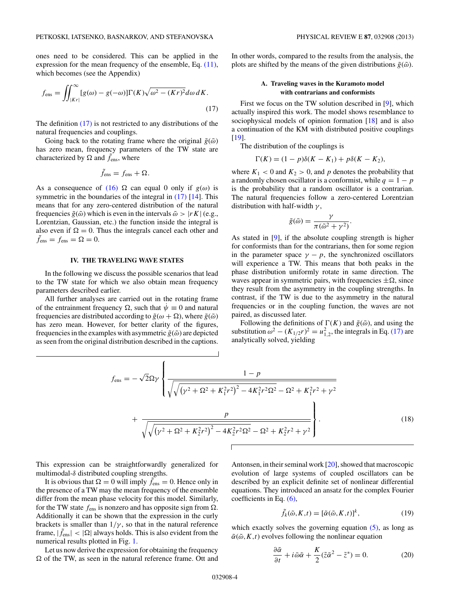<span id="page-3-0"></span>ones need to be considered. This can be applied in the expression for the mean frequency of the ensemble, Eq.  $(11)$ , which becomes (see the Appendix)

$$
f_{\text{ens}} = \iint_{|Kr|}^{\infty} [g(\omega) - g(-\omega)] \Gamma(K) \sqrt{\omega^2 - (Kr)^2} d\omega \, dK. \tag{17}
$$

The definition  $(17)$  is not restricted to any distributions of the natural frequencies and couplings.

Going back to the rotating frame where the original  $\tilde{g}(\tilde{\omega})$ has zero mean, frequency parameters of the TW state are characterized by  $\Omega$  and  $\tilde{f}_{\text{ens}}$ , where

$$
\tilde{f}_{\text{ens}} = f_{\text{ens}} + \Omega.
$$

As a consequence of [\(16\)](#page-2-0)  $\Omega$  can equal 0 only if  $g(\omega)$  is symmetric in the boundaries of the integral in (17) [\[14\]](#page-11-0). This means that for any zero-centered distribution of the natural frequencies  $\tilde{g}(\tilde{\omega})$  which is even in the intervals  $\tilde{\omega} > |rK|$  (e.g., Lorentzian, Gaussian, etc.) the function inside the integral is also even if  $\Omega = 0$ . Thus the integrals cancel each other and  $\tilde{f}_{\text{ens}} = f_{\text{ens}} = \Omega = 0.$ 

#### **IV. THE TRAVELING WAVE STATES**

In the following we discuss the possible scenarios that lead to the TW state for which we also obtain mean frequency parameters described earlier.

All further analyses are carried out in the rotating frame of the entrainment frequency  $\Omega$ , such that  $\dot{\psi} \equiv 0$  and natural frequencies are distributed according to  $\tilde{g}(\omega + \Omega)$ , where  $\tilde{g}(\tilde{\omega})$ has zero mean. However, for better clarity of the figures, frequencies in the examples with asymmetric  $\tilde{g}(\tilde{\omega})$  are depicted as seen from the original distribution described in the captions. In other words, compared to the results from the analysis, the plots are shifted by the means of the given distributions  $\tilde{g}(\tilde{\omega})$ .

## **A. Traveling waves in the Kuramoto model with contrarians and conformists**

First we focus on the TW solution described in [\[9\]](#page-11-0), which actually inspired this work. The model shows resemblance to sociophysical models of opinion formation [\[18\]](#page-11-0) and is also a continuation of the KM with distributed positive couplings [\[19\]](#page-11-0).

The distribution of the couplings is

$$
\Gamma(K) = (1 - p)\delta(K - K_1) + p\delta(K - K_2),
$$

where  $K_1 < 0$  and  $K_2 > 0$ , and p denotes the probability that a randomly chosen oscillator is a conformist, while  $q = 1 - p$ is the probability that a random oscillator is a contrarian. The natural frequencies follow a zero-centered Lorentzian distribution with half-width *γ* ,

$$
\tilde{g}(\tilde{\omega}) = \frac{\gamma}{\pi(\tilde{\omega}^2 + \gamma^2)}.
$$

As stated in [\[9\]](#page-11-0), if the absolute coupling strength is higher for conformists than for the contrarians, then for some region in the parameter space  $\gamma - p$ , the synchronized oscillators will experience a TW. This means that both peaks in the phase distribution uniformly rotate in same direction. The waves appear in symmetric pairs, with frequencies  $\pm \Omega$ , since they result from the asymmetry in the coupling strengths. In contrast, if the TW is due to the asymmetry in the natural frequencies or in the coupling function, the waves are not paired, as discussed later.

Following the definitions of  $\Gamma(K)$  and  $\tilde{g}(\tilde{\omega})$ , and using the substitution  $\omega^2 - (K_{1/2}r)^2 = u_{1,2}^2$ , the integrals in Eq. (17) are analytically solved, yielding

$$
f_{\text{ens}} = -\sqrt{2}\Omega\gamma \left\{ \frac{1 - p}{\sqrt{\sqrt{\left(\gamma^2 + \Omega^2 + K_1^2 r^2\right)^2 - 4K_1^2 r^2 \Omega^2} - \Omega^2 + K_1^2 r^2 + \gamma^2}} \right\} + \frac{p}{\sqrt{\sqrt{\left(\gamma^2 + \Omega^2 + K_2^2 r^2\right)^2 - 4K_2^2 r^2 \Omega^2} - \Omega^2 + K_2^2 r^2 + \gamma^2}} \right\}.
$$
(18)

This expression can be straightforwardly generalized for multimodal-*δ* distributed coupling strengths.

It is obvious that  $\Omega = 0$  will imply  $\tilde{f}_{\text{ens}} = 0$ . Hence only in the presence of a TW may the mean frequency of the ensemble differ from the mean phase velocity for this model. Similarly, for the TW state  $f_{\text{ens}}$  is nonzero and has opposite sign from  $\Omega$ . Additionally it can be shown that the expression in the curly brackets is smaller than  $1/\gamma$ , so that in the natural reference frame,  $|\tilde{f}_{\text{ens}}| < |\Omega|$  always holds. This is also evident from the numerical results plotted in Fig. [1.](#page-4-0)

Let us now derive the expression for obtaining the frequency  $\Omega$  of the TW, as seen in the natural reference frame. Ott and

Antonsen, in their seminal work [\[20\]](#page-11-0), showed that macroscopic evolution of large systems of coupled oscillators can be described by an explicit definite set of nonlinear differential equations. They introduced an ansatz for the complex Fourier coefficients in Eq. [\(6\),](#page-1-0)

$$
\tilde{f}_k(\tilde{\omega}, K, t) = [\tilde{\alpha}(\tilde{\omega}, K, t)]^k, \tag{19}
$$

which exactly solves the governing equation  $(5)$ , as long as  $\tilde{\alpha}(\tilde{\omega}, K, t)$  evolves following the nonlinear equation

$$
\frac{\partial \tilde{\alpha}}{\partial t} + i \tilde{\omega} \tilde{\alpha} + \frac{K}{2} (\tilde{z} \tilde{\alpha}^2 - \tilde{z}^*) = 0.
$$
 (20)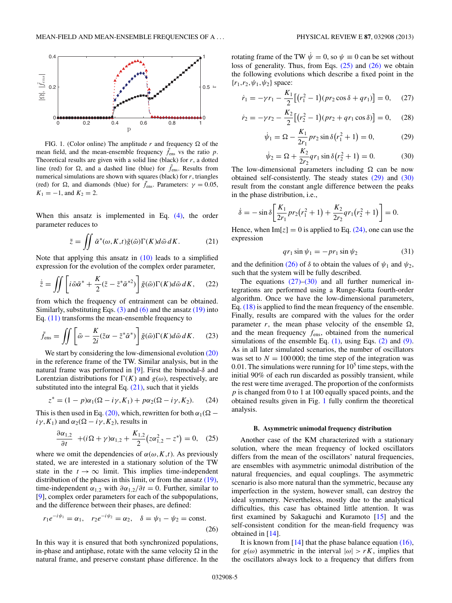<span id="page-4-0"></span>

FIG. 1. (Color online) The amplitude  $r$  and frequency  $\Omega$  of the mean field, and the mean-ensemble frequency  $\tilde{f}_{\text{ens}}$  vs the ratio p. Theoretical results are given with a solid line (black) for *r*, a dotted line (red) for  $\Omega$ , and a dashed line (blue) for  $\tilde{f}_{\text{ens}}$ . Results from numerical simulations are shown with squares (black) for *r*, triangles (red) for  $Ω$ , and diamonds (blue) for  $\tilde{f}_{\text{ens}}$ . Parameters:  $γ = 0.05$ ,  $K_1 = -1$ , and  $K_2 = 2$ .

When this ansatz is implemented in Eq.  $(4)$ , the order parameter reduces to

$$
\tilde{z} = \iint \tilde{\alpha}^*(\omega, K, t) \tilde{g}(\tilde{\omega}) \Gamma(K) d\tilde{\omega} dK.
$$
 (21)

Note that applying this ansatz in  $(10)$  leads to a simplified expression for the evolution of the complex order parameter,

$$
\dot{\tilde{z}} = \iint \left[ i\tilde{\omega}\tilde{\alpha}^* + \frac{K}{2} (\tilde{z} - \tilde{z}^* \tilde{\alpha}^{*2}) \right] \tilde{g}(\tilde{\omega}) \Gamma(K) d\tilde{\omega} dK, \quad (22)
$$

from which the frequency of entrainment can be obtained. Similarly, substituting Eqs.  $(3)$  and  $(6)$  and the ansatz  $(19)$  into Eq. [\(11\)](#page-2-0) transforms the mean-ensemble frequency to

$$
\tilde{f}_{\text{ens}} = \iint \left[ \tilde{\omega} - \frac{K}{2i} (\tilde{z}\alpha - \tilde{z}^* \tilde{\alpha}^*) \right] \tilde{g}(\tilde{\omega}) \Gamma(K) d\tilde{\omega} dK. \tag{23}
$$

We start by considering the low-dimensional evolution [\(20\)](#page-3-0) in the reference frame of the TW. Similar analysis, but in the natural frame was performed in [\[9\]](#page-11-0). First the bimodal-*δ* and Lorentzian distributions for  $\Gamma(K)$  and  $g(\omega)$ , respectively, are substituted into the integral Eq.  $(21)$ , such that it yields

$$
z^* = (1 - p)\alpha_1(\Omega - i\gamma, K_1) + p\alpha_2(\Omega - i\gamma, K_2). \tag{24}
$$

This is then used in Eq. [\(20\),](#page-3-0) which, rewritten for both  $\alpha_1(\Omega$  $i\gamma$ ,  $K_1$ ) and  $\alpha_2(\Omega - i\gamma, K_2)$ , results in

$$
\frac{\partial \alpha_{1,2}}{\partial t} + (i\,\Omega + \gamma)\alpha_{1,2} + \frac{K_{1,2}}{2} \left( z\alpha_{1,2}^2 - z^* \right) = 0, \quad (25)
$$

where we omit the dependencies of  $\alpha(\omega, K, t)$ . As previously stated, we are interested in a stationary solution of the TW state in the  $t \to \infty$  limit. This implies time-independent distribution of the phases in this limit, or from the ansatz [\(19\),](#page-3-0) time-independent  $\alpha_{1,2}$  with  $\partial \alpha_{1,2}/\partial t = 0$ . Further, similar to [\[9\]](#page-11-0), complex order parameters for each of the subpopulations, and the difference between their phases, are defined:

$$
r_1 e^{-i\psi_1} = \alpha_1, \quad r_2 e^{-i\psi_2} = \alpha_2, \quad \delta = \psi_1 - \psi_2 = \text{const.}
$$
\n(26)

In this way it is ensured that both synchronized populations, in-phase and antiphase, rotate with the same velocity  $\Omega$  in the natural frame, and preserve constant phase difference. In the rotating frame of the TW  $\dot{\psi} = 0$ , so  $\psi \equiv 0$  can be set without loss of generality. Thus, from Eqs. (25) and (26) we obtain the following evolutions which describe a fixed point in the  ${r_1, r_2, \psi_1, \psi_2}$  space:

$$
\dot{r}_1 = -\gamma r_1 - \frac{K_1}{2} \left[ (r_1^2 - 1)(pr_2 \cos \delta + qr_1) \right] = 0, \quad (27)
$$

$$
\dot{r}_2 = -\gamma r_2 - \frac{K_2}{2} \left[ \left( r_2^2 - 1 \right) \left( pr_2 + qr_1 \cos \delta \right) \right] = 0, \quad (28)
$$

$$
\dot{\psi}_1 = \Omega - \frac{K_1}{2r_1} pr_2 \sin \delta (r_1^2 + 1) = 0, \tag{29}
$$

$$
\dot{\psi}_2 = \Omega + \frac{K_2}{2r_2}qr_1\sin\delta(r_2^2 + 1) = 0.
$$
 (30)

The low-dimensional parameters including  $\Omega$  can be now obtained self-consistently. The steady states (29) and (30) result from the constant angle difference between the peaks in the phase distribution, i.e.,

$$
\dot{\delta} = -\sin\delta \left[ \frac{K_1}{2r_1} pr_2(r_1^2 + 1) + \frac{K_2}{2r_2} qr_1(r_2^2 + 1) \right] = 0.
$$

Hence, when  $Im[z] = 0$  is applied to Eq. (24), one can use the expression

$$
qr_1 \sin \psi_1 = -pr_1 \sin \psi_2 \tag{31}
$$

and the definition (26) of  $\delta$  to obtain the values of  $\psi_1$  and  $\psi_2$ , such that the system will be fully described.

The equations  $(27)$ – $(30)$  and all further numerical integrations are performed using a Runge-Kutta fourth-order algorithm. Once we have the low-dimensional parameters, Eq. [\(18\)](#page-3-0) is applied to find the mean frequency of the ensemble. Finally, results are compared with the values for the order parameter  $r$ , the mean phase velocity of the ensemble  $\Omega$ , and the mean frequency *f*ens, obtained from the numerical simulations of the ensemble Eq.  $(1)$ , using Eqs.  $(2)$  and  $(9)$ . As in all later simulated scenarios, the number of oscillators was set to  $N = 100000$ ; the time step of the integration was 0.01. The simulations were running for  $10<sup>5</sup>$  time steps, with the initial 90% of each run discarded as possibly transient, while the rest were time averaged. The proportion of the conformists *p* is changed from 0 to 1 at 100 equally spaced points, and the obtained results given in Fig. 1 fully confirm the theoretical analysis.

### **B. Asymmetric unimodal frequency distribution**

Another case of the KM characterized with a stationary solution, where the mean frequency of locked oscillators differs from the mean of the oscillators' natural frequencies, are ensembles with asymmetric unimodal distribution of the natural frequencies, and equal couplings. The asymmetric scenario is also more natural than the symmetric, because any imperfection in the system, however small, can destroy the ideal symmetry. Nevertheless, mostly due to the analytical difficulties, this case has obtained little attention. It was first examined by Sakaguchi and Kuramoto [\[15\]](#page-11-0) and the self-consistent condition for the mean-field frequency was obtained in [\[14\]](#page-11-0).

It is known from  $[14]$  that the phase balance equation  $(16)$ , for  $g(\omega)$  asymmetric in the interval  $|\omega| > rK$ , implies that the oscillators always lock to a frequency that differs from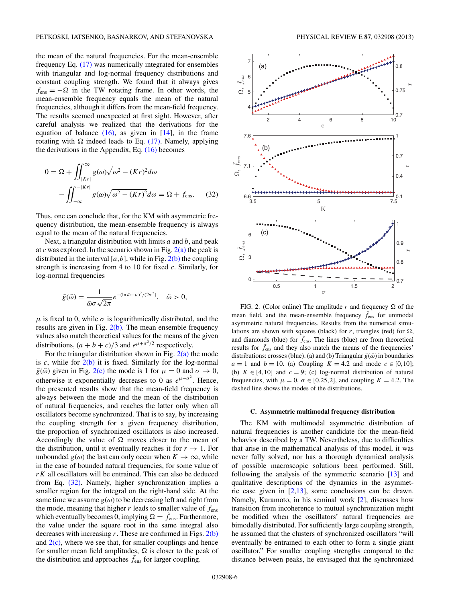<span id="page-5-0"></span>the mean of the natural frequencies. For the mean-ensemble frequency Eq. [\(17\)](#page-3-0) was numerically integrated for ensembles with triangular and log-normal frequency distributions and constant coupling strength. We found that it always gives  $f_{\text{ens}} = -\Omega$  in the TW rotating frame. In other words, the mean-ensemble frequency equals the mean of the natural frequencies, although it differs from the mean-field frequency. The results seemed unexpected at first sight. However, after careful analysis we realized that the derivations for the equation of balance  $(16)$ , as given in [\[14\]](#page-11-0), in the frame rotating with  $\Omega$  indeed leads to Eq. [\(17\).](#page-3-0) Namely, applying the derivations in the Appendix, Eq. [\(16\)](#page-2-0) becomes

$$
0 = \Omega + \iint_{|Kr|}^{\infty} g(\omega)\sqrt{\omega^2 - (Kr)^2} d\omega
$$

$$
- \iint_{-\infty}^{-|Kr|} g(\omega)\sqrt{\omega^2 - (Kr)^2} d\omega = \Omega + f_{\text{ens}}. \tag{32}
$$

Thus, one can conclude that, for the KM with asymmetric frequency distribution, the mean-ensemble frequency is always equal to the mean of the natural frequencies.

Next, a triangular distribution with limits *a* and *b*, and peak at  $c$  was explored. In the scenario shown in Fig.  $2(a)$  the peak is distributed in the interval  $[a,b]$ , while in Fig.  $2(b)$  the coupling strength is increasing from 4 to 10 for fixed *c*. Similarly, for log-normal frequencies

$$
\tilde{g}(\tilde{\omega}) = \frac{1}{\tilde{\omega}\sigma\sqrt{2\pi}}e^{-(\ln\tilde{\omega}-\mu)^2/(2\sigma^2)}, \quad \tilde{\omega} > 0,
$$

 $\mu$  is fixed to 0, while  $\sigma$  is logarithmically distributed, and the results are given in Fig. 2(b). The mean ensemble frequency values also match theoretical values for the means of the given distributions,  $(a + b + c)/3$  and  $e^{\mu + \sigma^2/2}$  respectively.

For the triangular distribution shown in Fig.  $2(a)$  the mode is  $c$ , while for  $2(b)$  it is fixed. Similarly for the log-normal  $\tilde{g}(\tilde{\omega})$  given in Fig. 2(c) the mode is 1 for  $\mu = 0$  and  $\sigma \to 0$ , otherwise it exponentially decreases to 0 as  $e^{\mu-\sigma^2}$ . Hence, the presented results show that the mean-field frequency is always between the mode and the mean of the distribution of natural frequencies, and reaches the latter only when all oscillators become synchronized. That is to say, by increasing the coupling strength for a given frequency distribution, the proportion of synchronized oscillators is also increased. Accordingly the value of  $\Omega$  moves closer to the mean of the distribution, until it eventually reaches it for  $r \to 1$ . For unbounded  $g(\omega)$  the last can only occur when  $K \to \infty$ , while in the case of bounded natural frequencies, for some value of *rK* all oscillators will be entrained. This can also be deduced from Eq. (32). Namely, higher synchronization implies a smaller region for the integral on the right-hand side. At the same time we assume  $g(\omega)$  to be decreasing left and right from the mode, meaning that higher  $r$  leads to smaller value of  $f_{\text{ens}}$ which eventually becomes 0, implying  $\Omega = \tilde{f}_{\text{ens}}$ . Furthermore, the value under the square root in the same integral also decreases with increasing  $r$ . These are confirmed in Figs.  $2(b)$ and  $2(c)$ , where we see that, for smaller couplings and hence for smaller mean field amplitudes,  $\Omega$  is closer to the peak of the distribution and approaches  $\tilde{f}_{\text{ens}}$  for larger coupling.



FIG. 2. (Color online) The amplitude  $r$  and frequency  $\Omega$  of the mean field, and the mean-ensemble frequency  $\tilde{f}_{\text{ens}}$  for unimodal asymmetric natural frequencies. Results from the numerical simulations are shown with squares (black) for  $r$ , triangles (red) for  $\Omega$ , and diamonds (blue) for  $\tilde{f}_{\text{ens}}$ . The lines (blue) are from theoretical results for  $\tilde{f}_{\text{ens}}$  and they also match the means of the frequencies' distributions: crosses (blue). (a) and (b) Triangular  $\tilde{g}(\tilde{\omega})$  in boundaries *a* = 1 and *b* = 10. (a) Coupling  $K = 4.2$  and mode  $c \in [0, 10]$ ; (b)  $K \in [4, 10]$  and  $c = 9$ ; (c) log-normal distribution of natural frequencies, with  $\mu = 0$ ,  $\sigma \in [0.25, 2]$ , and coupling  $K = 4.2$ . The dashed line shows the modes of the distributions.

#### **C. Asymmetric multimodal frequency distribution**

The KM with multimodal asymmetric distribution of natural frequencies is another candidate for the mean-field behavior described by a TW. Nevertheless, due to difficulties that arise in the mathematical analysis of this model, it was never fully solved, nor has a thorough dynamical analysis of possible macroscopic solutions been performed. Still, following the analysis of the symmetric scenario [\[13\]](#page-11-0) and qualitative descriptions of the dynamics in the asymmetric case given in [\[2,13\]](#page-11-0), some conclusions can be drawn. Namely, Kuramoto, in his seminal work [\[2\]](#page-11-0), discusses how transition from incoherence to mutual synchronization might be modified when the oscillators' natural frequencies are bimodally distributed. For sufficiently large coupling strength, he assumed that the clusters of synchronized oscillators "will eventually be entrained to each other to form a single giant oscillator." For smaller coupling strengths compared to the distance between peaks, he envisaged that the synchronized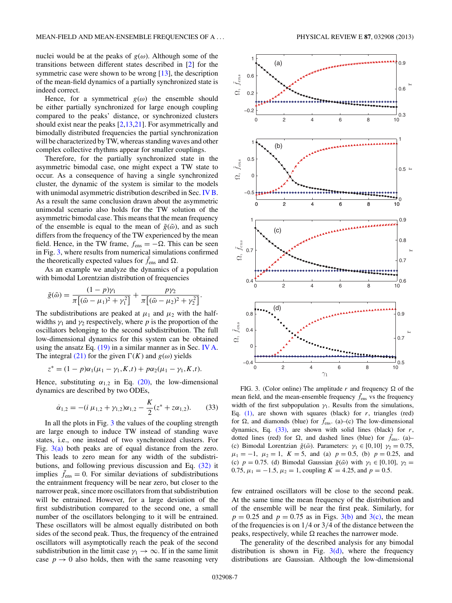<span id="page-6-0"></span>nuclei would be at the peaks of  $g(\omega)$ . Although some of the transitions between different states described in [\[2\]](#page-11-0) for the symmetric case were shown to be wrong [\[13\]](#page-11-0), the description of the mean-field dynamics of a partially synchronized state is indeed correct.

Hence, for a symmetrical  $g(\omega)$  the ensemble should be either partially synchronized for large enough coupling compared to the peaks' distance, or synchronized clusters should exist near the peaks  $[2,13,21]$ . For asymmetrically and bimodally distributed frequencies the partial synchronization will be characterized by TW, whereas standing waves and other complex collective rhythms appear for smaller couplings.

Therefore, for the partially synchronized state in the asymmetric bimodal case, one might expect a TW state to occur. As a consequence of having a single synchronized cluster, the dynamic of the system is similar to the models with unimodal asymmetric distribution described in Sec. [IV B.](#page-4-0) As a result the same conclusion drawn about the asymmetric unimodal scenario also holds for the TW solution of the asymmetric bimodal case. This means that the mean frequency of the ensemble is equal to the mean of  $\tilde{g}(\tilde{\omega})$ , and as such differs from the frequency of the TW experienced by the mean field. Hence, in the TW frame,  $f_{\text{ens}} = -\Omega$ . This can be seen in Fig. 3, where results from numerical simulations confirmed the theoretically expected values for  $\tilde{f}_{\text{ens}}$  and  $\Omega$ .

As an example we analyze the dynamics of a population with bimodal Lorentzian distribution of frequencies

$$
\tilde{g}(\tilde{\omega}) = \frac{(1-p)\gamma_1}{\pi \left[ (\tilde{\omega} - \mu_1)^2 + \gamma_1^2 \right]} + \frac{p\gamma_2}{\pi \left[ (\tilde{\omega} - \mu_2)^2 + \gamma_2^2 \right]}.
$$

The subdistributions are peaked at  $\mu_1$  and  $\mu_2$  with the halfwidths  $\gamma_1$  and  $\gamma_2$  respectively, where *p* is the proportion of the oscillators belonging to the second subdistribution. The full low-dimensional dynamics for this system can be obtained using the ansatz Eq. [\(19\)](#page-3-0) in a similar manner as in Sec. [IV A.](#page-3-0) The integral [\(21\)](#page-4-0) for the given  $\Gamma(K)$  and  $g(\omega)$  yields

$$
z^* = (1 - p)\alpha_1(\mu_1 - \gamma_1, K, t) + p\alpha_2(\mu_1 - \gamma_1, K, t).
$$

Hence, substituting  $\alpha_{1,2}$  in Eq. [\(20\),](#page-3-0) the low-dimensional dynamics are described by two ODEs,

$$
\dot{\alpha}_{1,2} = -(i \mu_{1,2} + \gamma_{1,2})\alpha_{1,2} - \frac{K}{2}(z^* + z\alpha_{1,2}).
$$
 (33)

In all the plots in Fig. 3 the values of the coupling strength are large enough to induce TW instead of standing wave states, i.e., one instead of two synchronized clusters. For Fig.  $3(a)$  both peaks are of equal distance from the zero. This leads to zero mean for any width of the subdistributions, and following previous discussion and Eq. [\(32\)](#page-5-0) it implies  $\tilde{f}_{\text{ens}} = 0$ . For similar deviations of subdistributions the entrainment frequency will be near zero, but closer to the narrower peak, since more oscillators from that subdistribution will be entrained. However, for a large deviation of the first subdistribution compared to the second one, a small number of the oscillators belonging to it will be entrained. These oscillators will be almost equally distributed on both sides of the second peak. Thus, the frequency of the entrained oscillators will asymptotically reach the peak of the second subdistribution in the limit case  $\gamma_1 \rightarrow \infty$ . If in the same limit case  $p \rightarrow 0$  also holds, then with the same reasoning very



FIG. 3. (Color online) The amplitude  $r$  and frequency  $\Omega$  of the mean field, and the mean-ensemble frequency  $\tilde{f}_{\text{ens}}$  vs the frequency width of the first subpopulation  $\gamma_1$ . Results from the simulations, Eq.  $(1)$ , are shown with squares (black) for *r*, triangles (red) for  $\Omega$ , and diamonds (blue) for  $\tilde{f}_{\text{ens}}$ . (a)–(c) The low-dimensional dynamics, Eq. (33), are shown with solid lines (black) for *r*, dotted lines (red) for  $\Omega$ , and dashed lines (blue) for  $\tilde{f}_{\text{ens}}$ . (a)-(c) Bimodal Lorentzian  $\tilde{g}(\tilde{\omega})$ . Parameters:  $\gamma_1 \in [0, 10]$   $\gamma_2 = 0.75$ ,  $\mu_1 = -1$ ,  $\mu_2 = 1$ ,  $K = 5$ , and (a)  $p = 0.5$ , (b)  $p = 0.25$ , and (c)  $p = 0.75$ . (d) Bimodal Gaussian  $\tilde{g}(\tilde{\omega})$  with  $\gamma_1 \in [0, 10]$ ,  $\gamma_2 =$ 0.75,  $\mu_1 = -1.5$ ,  $\mu_2 = 1$ , coupling  $K = 4.25$ , and  $p = 0.5$ .

few entrained oscillators will be close to the second peak. At the same time the mean frequency of the distribution and of the ensemble will be near the first peak. Similarly, for  $p = 0.25$  and  $p = 0.75$  as in Figs. 3(b) and 3(c), the mean of the frequencies is on 1*/*4 or 3*/*4 of the distance between the peaks, respectively, while  $\Omega$  reaches the narrower mode.

The generality of the described analysis for any bimodal distribution is shown in Fig.  $3(d)$ , where the frequency distributions are Gaussian. Although the low-dimensional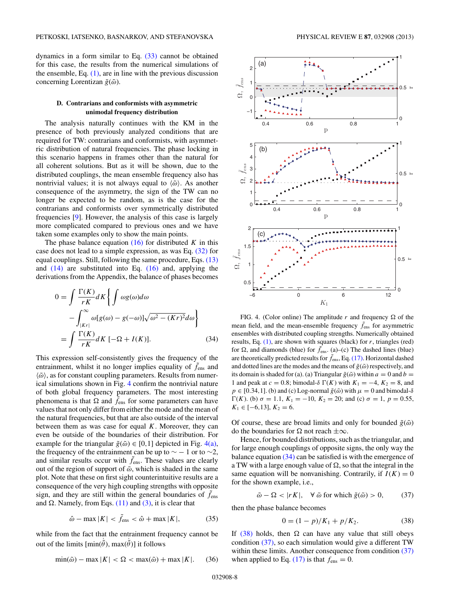<span id="page-7-0"></span>dynamics in a form similar to Eq.  $(33)$  cannot be obtained for this case, the results from the numerical simulations of the ensemble, Eq.  $(1)$ , are in line with the previous discussion concerning Lorentizan  $\tilde{g}$ (*ω*̃).

## **D. Contrarians and conformists with asymmetric unimodal frequency distribution**

The analysis naturally continues with the KM in the presence of both previously analyzed conditions that are required for TW: contrarians and conformists, with asymmetric distribution of natural frequencies. The phase locking in this scenario happens in frames other than the natural for all coherent solutions. But as it will be shown, due to the distributed couplings, the mean ensemble frequency also has nontrivial values; it is not always equal to  $\langle \tilde{\omega} \rangle$ . As another consequence of the asymmetry, the sign of the TW can no longer be expected to be random, as is the case for the contrarians and conformists over symmetrically distributed frequencies [\[9\]](#page-11-0). However, the analysis of this case is largely more complicated compared to previous ones and we have taken some examples only to show the main points.

The phase balance equation  $(16)$  for distributed *K* in this case does not lead to a simple expression, as was Eq.  $(32)$  for equal couplings. Still, following the same procedure, Eqs. [\(13\)](#page-2-0) and  $(14)$  are substituted into Eq.  $(16)$  and, applying the derivations from the Appendix, the balance of phases becomes

$$
0 = \int \frac{\Gamma(K)}{rK} dK \left\{ \int \omega g(\omega) d\omega - \int_{|Kr|}^{\infty} \omega[g(\omega) - g(-\omega)] \sqrt{\omega^2 - (Kr)^2} d\omega \right\}
$$

$$
= \int \frac{\Gamma(K)}{rK} dK \left[ -\Omega + I(K) \right]. \tag{34}
$$

This expression self-consistently gives the frequency of the entrainment, whilst it no longer implies equality of  $\tilde{f}_{\text{ens}}$  and  $\langle \tilde{\omega} \rangle$ , as for constant coupling parameters. Results from numerical simulations shown in Fig. 4 confirm the nontrivial nature of both global frequency parameters. The most interesting phenomena is that  $\Omega$  and  $\tilde{f}_{\text{ens}}$  for some parameters can have values that not only differ from either the mode and the mean of the natural frequencies, but that are also outside of the interval between them as was case for equal *K*. Moreover, they can even be outside of the boundaries of their distribution. For example for the triangular  $\tilde{g}(\tilde{\omega}) \in [0,1]$  depicted in Fig. 4(a), the frequency of the entrainment can be up to  $\sim$  − 1 or to  $\sim$ 2, and similar results occur with  $\tilde{f}_{\text{ens}}$ . These values are clearly out of the region of support of ˜*ω*, which is shaded in the same plot. Note that these on first sight counterintuitive results are a consequence of the very high coupling strengths with opposite sign, and they are still within the general boundaries of  $\tilde{f}_{\text{ens}}$ and  $\Omega$ . Namely, from Eqs. [\(11\)](#page-2-0) and [\(3\),](#page-1-0) it is clear that

$$
\hat{\omega} - \max |K| < \tilde{f}_{\text{ens}} < \hat{\omega} + \max |K|,\tag{35}
$$

while from the fact that the entrainment frequency cannot be out of the limits  $[\min(\dot{\tilde{\theta}}), \max(\dot{\tilde{\theta}})]$  it follows

$$
\min(\tilde{\omega}) - \max |K| < \Omega < \max(\tilde{\omega}) + \max |K|.
$$
\n(36)



FIG. 4. (Color online) The amplitude  $r$  and frequency  $\Omega$  of the mean field, and the mean-ensemble frequency  $\tilde{f}_{\text{ens}}$  for asymmetric ensembles with distributed coupling strengths. Numerically obtained results, Eq. [\(1\),](#page-1-0) are shown with squares (black) for *r*, triangles (red) for  $\Omega$ , and diamonds (blue) for  $\tilde{f}_{\text{ens}}$ . (a)–(c) The dashed lines (blue) are theoretically predicted results for  $\tilde{f}_{\text{ens}}$ , Eq. [\(17\).](#page-3-0) Horizontal dashed and dotted lines are the modes and the means of  $\tilde{g}(\tilde{\omega})$  respectively, and its domain is shaded for (a). (a) Triangular  $\tilde{g}(\tilde{\omega})$  within  $a = 0$  and  $b =$ 1 and peak at  $c = 0.8$ ; bimodal- $\delta \Gamma(K)$  with  $K_1 = -4$ ,  $K_2 = 8$ , and  $p \in [0.34, 1]$ . (b) and (c) Log-normal  $\tilde{g}(\tilde{\omega})$  with  $\mu = 0$  and bimodal- $\delta$  $\Gamma(K)$ . (b)  $\sigma = 1.1$ ,  $K_1 = -10$ ,  $K_2 = 20$ ; and (c)  $\sigma = 1$ ,  $p = 0.55$ ,  $K_1$  ∈ [-6,13],  $K_2$  = 6.

Of course, these are broad limits and only for bounded  $\tilde{g}(\tilde{\omega})$ do the boundaries for  $\Omega$  not reach  $\pm \infty$ .

Hence, for bounded distributions, such as the triangular, and for large enough couplings of opposite signs, the only way the balance equation  $(34)$  can be satisfied is with the emergence of a TW with a large enough value of  $\Omega$ , so that the integral in the same equation will be nonvanishing. Contrarily, if  $I(K) = 0$ for the shown example, i.e.,

$$
\tilde{\omega} - \Omega < |rK|, \quad \forall \tilde{\omega} \text{ for which } \tilde{g}(\tilde{\omega}) > 0,\tag{37}
$$

then the phase balance becomes

$$
0 = (1 - p)/K_1 + p/K_2.
$$
 (38)

If (38) holds, then  $\Omega$  can have any value that still obeys condition (37), so each simulation would give a different TW within these limits. Another consequence from condition (37) when applied to Eq.  $(17)$  is that  $f_{\text{ens}} = 0$ .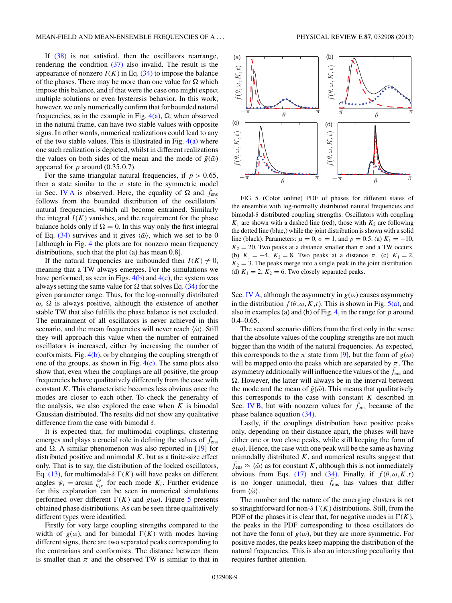If [\(38\)](#page-7-0) is not satisfied, then the oscillators rearrange, rendering the condition  $(37)$  also invalid. The result is the appearance of nonzero  $I(K)$  in Eq. [\(34\)](#page-7-0) to impose the balance of the phases. There may be more than one value for  $\Omega$  which impose this balance, and if that were the case one might expect multiple solutions or even hysteresis behavior. In this work, however, we only numerically confirm that for bounded natural frequencies, as in the example in Fig.  $4(a)$ ,  $\Omega$ , when observed in the natural frame, can have two stable values with opposite signs. In other words, numerical realizations could lead to any of the two stable values. This is illustrated in Fig.  $4(a)$  where one such realization is depicted, whilst in different realizations the values on both sides of the mean and the mode of  $\tilde{g}(\tilde{\omega})$ appeared for *p* around (0*.*35*,*0*.*7).

For the same triangular natural frequencies, if  $p > 0.65$ , then a state similar to the  $\pi$  state in the symmetric model in Sec. [IV A](#page-3-0) is observed. Here, the equality of  $\Omega$  and  $\tilde{f}_{\text{ens}}$ follows from the bounded distribution of the oscillators' natural frequencies, which all become entrained. Similarly the integral  $I(K)$  vanishes, and the requirement for the phase balance holds only if  $\Omega = 0$ . In this way only the first integral of Eq.  $(34)$  survives and it gives  $\langle \tilde{\omega} \rangle$ , which we set to be 0 [although in Fig. [4](#page-7-0) the plots are for nonzero mean frequency distributions, such that the plot (a) has mean 0*.*8].

If the natural frequencies are unbounded then  $I(K) \neq 0$ , meaning that a TW always emerges. For the simulations we have performed, as seen in Figs.  $4(b)$  and  $4(c)$ , the system was always setting the same value for  $\Omega$  that solves Eq. [\(34\)](#page-7-0) for the given parameter range. Thus, for the log-normally distributed  $\omega$ ,  $\Omega$  is always positive, although the existence of another stable TW that also fulfills the phase balance is not excluded. The entrainment of all oscillators is never achieved in this scenario, and the mean frequencies will never reach  $\langle \tilde{\omega} \rangle$ . Still they will approach this value when the number of entrained oscillators is increased, either by increasing the number of conformists, Fig.  $4(b)$ , or by changing the coupling strength of one of the groups, as shown in Fig.  $4(c)$ . The same plots also show that, even when the couplings are all positive, the group frequencies behave qualitatively differently from the case with constant *K*. This characteristic becomes less obvious once the modes are closer to each other. To check the generality of the analysis, we also explored the case when  $K$  is bimodal Gaussian distributed. The results did not show any qualitative difference from the case with bimodal *δ*.

It is expected that, for multimodal couplings, clustering emerges and plays a crucial role in defining the values of  $\tilde{f}_{\text{ens}}$ and  $\Omega$ . A similar phenomenon was also reported in [\[19\]](#page-11-0) for distributed positive and unimodal  $K$ , but as a finite-size effect only. That is to say, the distribution of the locked oscillators, Eq. [\(13\),](#page-2-0) for multimodal- $\delta \Gamma(K)$  will have peaks on different angles  $\psi_i = \arcsin \frac{\omega}{K_i r}$  for each mode  $K_i$ . Further evidence for this explanation can be seen in numerical simulations performed over different  $\Gamma(K)$  and  $g(\omega)$ . Figure 5 presents obtained phase distributions. As can be seen three qualitatively different types were identified.

Firstly for very large coupling strengths compared to the width of  $g(\omega)$ , and for bimodal  $\Gamma(K)$  with modes having different signs, there are two separated peaks corresponding to the contrarians and conformists. The distance between them is smaller than  $\pi$  and the observed TW is similar to that in



FIG. 5. (Color online) PDF of phases for different states of the ensemble with log-normally distributed natural frequencies and bimodal-*δ* distributed coupling strengths. Oscillators with coupling  $K_1$  are shown with a dashed line (red), those with  $K_2$  are following the dotted line (blue,) while the joint distribution is shown with a solid line (black). Parameters:  $\mu = 0$ ,  $\sigma = 1$ , and  $p = 0.5$ . (a)  $K_1 = -10$ ,  $K_2 = 20$ . Two peaks at a distance smaller than  $\pi$  and a TW occurs. (b)  $K_1 = -4$ ,  $K_2 = 8$ . Two peaks at a distance  $\pi$ . (c)  $K_1 = 2$ ,  $K_2 = 3$ . The peaks merge into a single peak in the joint distribution. (d)  $K_1 = 2$ ,  $K_2 = 6$ . Two closely separated peaks.

Sec. [IV A,](#page-3-0) although the asymmetry in  $g(\omega)$  causes asymmetry in the distribution  $f(\theta, \omega, K, t)$ . This is shown in Fig. 5(a), and also in examples (a) and (b) of Fig. [4,](#page-7-0) in the range for *p* around  $0.4 - 0.65$ .

The second scenario differs from the first only in the sense that the absolute values of the coupling strengths are not much bigger than the width of the natural frequencies. As expected, this corresponds to the  $\pi$  state from [\[9\]](#page-11-0), but the form of  $g(\omega)$ will be mapped onto the peaks which are separated by  $\pi$ . The asymmetry additionally will influence the values of the  $\tilde{f}_{\text{ens}}$  and  $\Omega$ . However, the latter will always be in the interval between the mode and the mean of  $\tilde{g}(\tilde{\omega})$ . This means that qualitatively this corresponds to the case with constant  $K$  described in Sec. [IV B,](#page-4-0) but with nonzero values for  $\tilde{f}_{\text{ens}}$  because of the phase balance equation [\(34\).](#page-7-0)

Lastly, if the couplings distribution have positive peaks only, depending on their distance apart, the phases will have either one or two close peaks, while still keeping the form of  $g(\omega)$ . Hence, the case with one peak will be the same as having unimodally distributed *K*, and numerical results suggest that  $\tilde{f}_{\text{ens}} \approx \langle \tilde{\omega} \rangle$  as for constant *K*, although this is not immediately obvious from Eqs. [\(17\)](#page-3-0) and [\(34\).](#page-7-0) Finally, if  $f(\theta, \omega, K, t)$ is no longer unimodal, then  $\tilde{f}_{\text{ens}}$  has values that differ from  $\langle \tilde{\omega} \rangle$ .

The number and the nature of the emerging clusters is not so straightforward for non- $\delta \Gamma(K)$  distributions. Still, from the PDF of the phases it is clear that, for negative modes in  $\Gamma(K)$ , the peaks in the PDF corresponding to those oscillators do not have the form of  $g(\omega)$ , but they are more symmetric. For positive modes, the peaks keep mapping the distribution of the natural frequencies. This is also an interesting peculiarity that requires further attention.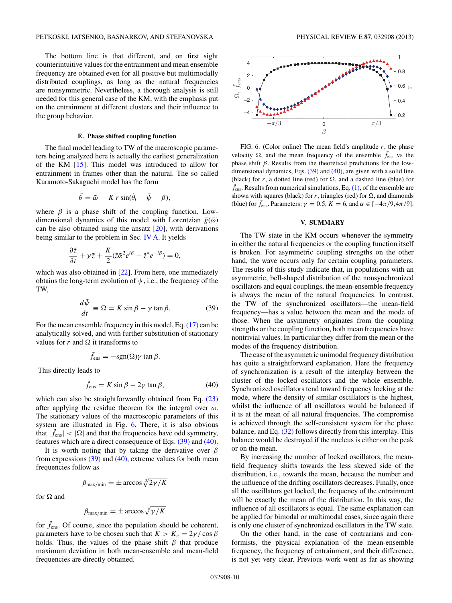<span id="page-9-0"></span>The bottom line is that different, and on first sight counterintuitive values for the entrainment and mean ensemble frequency are obtained even for all positive but multimodally distributed couplings, as long as the natural frequencies are nonsymmetric. Nevertheless, a thorough analysis is still needed for this general case of the KM, with the emphasis put on the entrainment at different clusters and their influence to the group behavior.

#### **E. Phase shifted coupling function**

The final model leading to TW of the macroscopic parameters being analyzed here is actually the earliest generalization of the KM [\[15\]](#page-11-0). This model was introduced to allow for entrainment in frames other than the natural. The so called Kuramoto-Sakaguchi model has the form

$$
\dot{\tilde{\theta}} = \tilde{\omega} - K r \sin(\tilde{\theta}_i - \tilde{\psi} - \beta),
$$

where  $\beta$  is a phase shift of the coupling function. Lowdimensional dynamics of this model with Lorentzian  $\tilde{g}$ ( $\tilde{\omega}$ ) can be also obtained using the ansatz  $[20]$ , with derivations being similar to the problem in Sec. [IV A.](#page-3-0) It yields

$$
\frac{\partial \tilde{z}}{\partial t} + \gamma \tilde{z} + \frac{K}{2} (\tilde{z} \tilde{\alpha}^2 e^{i\beta} - \tilde{z}^* e^{-i\beta}) = 0,
$$

which was also obtained in [\[22\]](#page-11-0). From here, one immediately obtains the long-term evolution of  $\psi$ , i.e., the frequency of the TW,

$$
\frac{d\tilde{\psi}}{dt} \equiv \Omega = K \sin \beta - \gamma \tan \beta. \tag{39}
$$

For the mean ensemble frequency in this model, Eq. [\(17\)](#page-3-0) can be analytically solved, and with further substitution of stationary values for  $r$  and  $\Omega$  it transforms to

$$
\tilde{f}_{\text{ens}} = -\text{sgn}(\Omega)\gamma \tan \beta.
$$

This directly leads to

$$
\tilde{f}_{\text{ens}} = K \sin \beta - 2\gamma \tan \beta, \tag{40}
$$

which can also be straightforwardly obtained from Eq. [\(23\)](#page-4-0) after applying the residue theorem for the integral over *ω*. The stationary values of the macroscopic parameters of this system are illustrated in Fig. 6. There, it is also obvious that  $|\tilde{f}_{\text{ens}}| < |\Omega|$  and that the frequencies have odd symmetry, features which are a direct consequence of Eqs. (39) and (40).

It is worth noting that by taking the derivative over *β* from expressions  $(39)$  and  $(40)$ , extreme values for both mean frequencies follow as

$$
\beta_{\text{max/min}} = \pm \arccos \sqrt[3]{2\gamma/K}
$$

for  $\Omega$  and

$$
\beta_{\text{max/min}} = \pm \arccos \sqrt[3]{\gamma/K}
$$

for  $\tilde{f}_{\text{ens}}$ . Of course, since the population should be coherent, parameters have to be chosen such that  $K > K_c = 2\gamma/\cos \beta$ holds. Thus, the values of the phase shift *β* that produce maximum deviation in both mean-ensemble and mean-field frequencies are directly obtained.



FIG. 6. (Color online) The mean field's amplitude *r*, the phase velocity  $\Omega$ , and the mean frequency of the ensemble  $\tilde{f}_{\text{ens}}$  vs the phase shift  $β$ . Results from the theoretical predictions for the lowdimensional dynamics, Eqs.  $(39)$  and  $(40)$ , are given with a solid line (black) for  $r$ , a dotted line (red) for  $\Omega$ , and a dashed line (blue) for  $\tilde{f}_{\text{ens}}$ . Results from numerical simulations, Eq. [\(1\),](#page-1-0) of the ensemble are shown with squares (black) for  $r$ , triangles (red) for  $\Omega$ , and diamonds (blue) for  $\tilde{f}_{\text{ens}}$ . Parameters:  $\gamma = 0.5$ ,  $K = 6$ , and  $\alpha \in [-4\pi/9, 4\pi/9]$ .

### **V. SUMMARY**

The TW state in the KM occurs whenever the symmetry in either the natural frequencies or the coupling function itself is broken. For asymmetric coupling strengths on the other hand, the wave occurs only for certain coupling parameters. The results of this study indicate that, in populations with an asymmetric, bell-shaped distribution of the nonsynchronized oscillators and equal couplings, the mean-ensemble frequency is always the mean of the natural frequencies. In contrast, the TW of the synchronized oscillators—the mean-field frequency—has a value between the mean and the mode of those. When the asymmetry originates from the coupling strengths or the coupling function, both mean frequencies have nontrivial values. In particular they differ from the mean or the modes of the frequency distribution.

The case of the asymmetric unimodal frequency distribution has quite a straightforward explanation. Here the frequency of synchronization is a result of the interplay between the cluster of the locked oscillators and the whole ensemble. Synchronized oscillators tend toward frequency locking at the mode, where the density of similar oscillators is the highest, whilst the influence of all oscillators would be balanced if it is at the mean of all natural frequencies. The compromise is achieved through the self-consistent system for the phase balance, and Eq. [\(32\)](#page-5-0) follows directly from this interplay. This balance would be destroyed if the nucleus is either on the peak or on the mean.

By increasing the number of locked oscillators, the meanfield frequency shifts towards the less skewed side of the distribution, i.e., towards the mean, because the number and the influence of the drifting oscillators decreases. Finally, once all the oscillators get locked, the frequency of the entrainment will be exactly the mean of the distribution. In this way, the influence of all oscillators is equal. The same explanation can be applied for bimodal or multimodal cases, since again there is only one cluster of synchronized oscillators in the TW state.

On the other hand, in the case of contrarians and conformists, the physical explanation of the mean-ensemble frequency, the frequency of entrainment, and their difference, is not yet very clear. Previous work went as far as showing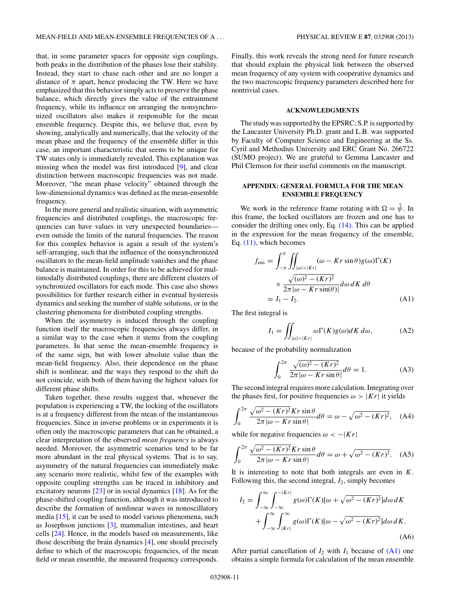that, in some parameter spaces for opposite sign couplings, both peaks in the distribution of the phases lose their stability. Instead, they start to chase each other and are no longer a distance of  $\pi$  apart, hence producing the TW. Here we have emphasized that this behavior simply acts to preserve the phase balance, which directly gives the value of the entrainment frequency, while its influence on arranging the nonsynchronized oscillators also makes it responsible for the mean ensemble frequency. Despite this, we believe that, even by showing, analytically and numerically, that the velocity of the mean phase and the frequency of the ensemble differ in this case, an important characteristic that seems to be unique for TW states only is immediately revealed. This explanation was missing when the model was first introduced [\[9\]](#page-11-0), and clear distinction between macroscopic frequencies was not made. Moreover, "the mean phase velocity" obtained through the low-dimensional dynamics was defined as the mean-ensemble frequency.

In the more general and realistic situation, with asymmetric frequencies and distributed couplings, the macroscopic frequencies can have values in very unexpected boundaries even outside the limits of the natural frequencies. The reason for this complex behavior is again a result of the system's self-arranging, such that the influence of the nonsynchronized oscillators to the mean-field amplitude vanishes and the phase balance is maintained. In order for this to be achieved for multimodally distributed couplings, there are different clusters of synchronized oscillators for each mode. This case also shows possibilities for further research either in eventual hysteresis dynamics and seeking the number of stable solutions, or in the clustering phenomena for distributed coupling strengths.

When the asymmetry is induced through the coupling function itself the macroscopic frequencies always differ, in a similar way to the case when it stems from the coupling parameters. In that sense the mean-ensemble frequency is of the same sign, but with lower absolute value than the mean-field frequency. Also, their dependence on the phase shift is nonlinear, and the ways they respond to the shift do not coincide, with both of them having the highest values for different phase shifts.

Taken together, these results suggest that, whenever the population is experiencing a TW, the locking of the oscillators is at a frequency different from the mean of the instantaneous frequencies. Since in inverse problems or in experiments it is often only the macroscopic parameters that can be obtained, a clear interpretation of the observed *mean frequency* is always needed. Moreover, the asymmetric scenarios tend to be far more abundant in the real physical systems. That is to say, asymmetry of the natural frequencies can immediately make any scenario more realistic, whilst few of the examples with opposite coupling strengths can be traced in inhibitory and excitatory neurons [\[23\]](#page-11-0) or in social dynamics [\[18\]](#page-11-0). As for the phase-shifted coupling function, although it was introduced to describe the formation of nonlinear waves in nonoscillatory media [\[15\]](#page-11-0), it can be used to model various phenomena, such as Josephson junctions [\[3\]](#page-11-0), mammalian intestines, and heart cells [\[24\]](#page-11-0). Hence, in the models based on measurements, like those describing the brain dynamics [\[4\]](#page-11-0), one should precisely define to which of the macroscopic frequencies, of the mean field or mean ensemble, the measured frequency corresponds.

Finally, this work reveals the strong need for future research that should explain the physical link between the observed mean frequency of any system with cooperative dynamics and the two macroscopic frequency parameters described here for nontrivial cases.

## **ACKNOWLEDGMENTS**

The study was supported by the EPSRC; S.P. is supported by the Lancaster University Ph.D. grant and L.B. was supported by Faculty of Computer Science and Engineering at the Ss. Cyril and Methodius University and ERC Grant No. 266722 (SUMO project). We are grateful to Gemma Lancaster and Phil Clemson for their useful comments on the manuscript.

## **APPENDIX: GENERAL FORMULA FOR THE MEAN ENSEMBLE FREQUENCY**

We work in the reference frame rotating with  $\Omega = \dot{\psi}$ . In this frame, the locked oscillators are frozen and one has to consider the drifting ones only, Eq. [\(14\).](#page-2-0) This can be applied in the expression for the mean frequency of the ensemble, Eq. [\(11\),](#page-2-0) which becomes

$$
f_{\text{ens}} = \int_{-\pi}^{\pi} \iint_{|\omega| > |Kr|} (\omega - Kr \sin \theta) g(\omega) \Gamma(K)
$$
  
 
$$
\times \frac{\sqrt{(\omega)^2 - (Kr)^2}}{2\pi |\omega - Kr \sin(\theta)|} d\omega dK d\theta
$$
  
=  $I_1 - I_2.$  (A1)

The first integral is

$$
I_1 = \iint_{|\omega| > |Kr|} \omega \Gamma(K) g(\omega) dK \, d\omega, \tag{A2}
$$

because of the probability normalization

$$
\int_0^{2\pi} \frac{\sqrt{(\omega)^2 - (Kr)^2}}{2\pi |\omega - Kr\sin\theta|} d\theta = 1.
$$
 (A3)

The second integral requires more calculation. Integrating over the phases first, for positive frequencies  $\omega > |Kr|$  it yields

$$
\int_0^{2\pi} \frac{\sqrt{\omega^2 - (Kr)^2} Kr \sin \theta}{2\pi |\omega - Kr \sin \theta|} d\theta = \omega - \sqrt{\omega^2 - (Kr)^2}, \quad (A4)
$$

while for negative frequencies  $\omega < -|Kr|$ 

$$
\int_0^{2\pi} \frac{\sqrt{\omega^2 - (Kr)^2} Kr \sin \theta}{2\pi |\omega - Kr \sin \theta|} d\theta = \omega + \sqrt{\omega^2 - (Kr)^2}.
$$
 (A5)

It is interesting to note that both integrals are even in *K*. Following this, the second integral, *I*2, simply becomes

$$
I_2 = \int_{-\infty}^{\infty} \int_{-\infty}^{-|Kr|} g(\omega) \Gamma(K) [\omega + \sqrt{\omega^2 - (Kr)^2}] d\omega dK
$$

$$
+ \int_{-\infty}^{\infty} \int_{|Kr|}^{\infty} g(\omega) \Gamma(K) [\omega - \sqrt{\omega^2 - (Kr)^2}] d\omega dK.
$$
(A6)

After partial cancellation of  $I_2$  with  $I_1$  because of  $(A1)$  one obtains a simple formula for calculation of the mean ensemble